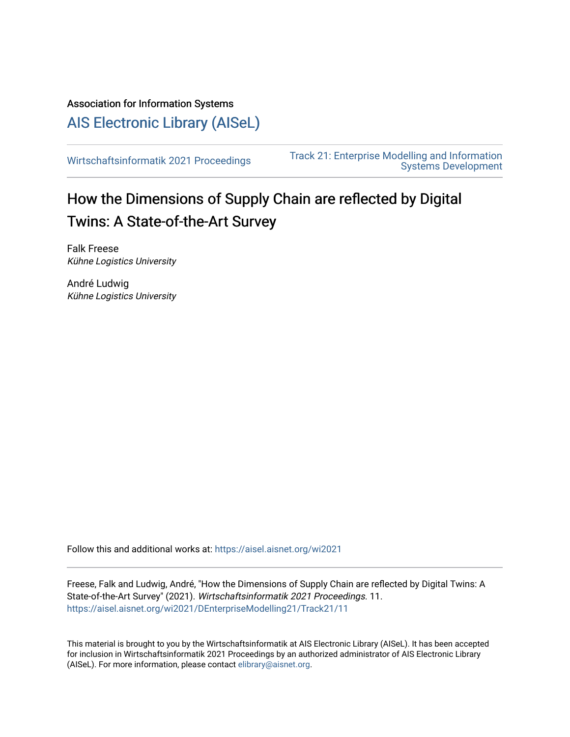# Association for Information Systems

[AIS Electronic Library \(AISeL\)](https://aisel.aisnet.org/)

[Wirtschaftsinformatik 2021 Proceedings](https://aisel.aisnet.org/wi2021) Track 21: Enterprise Modelling and Information [Systems Development](https://aisel.aisnet.org/wi2021/DEnterpriseModelling21) 

# How the Dimensions of Supply Chain are reflected by Digital Twins: A State-of-the-Art Survey

Falk Freese Kühne Logistics University

André Ludwig Kühne Logistics University

Follow this and additional works at: [https://aisel.aisnet.org/wi2021](https://aisel.aisnet.org/wi2021?utm_source=aisel.aisnet.org%2Fwi2021%2FDEnterpriseModelling21%2FTrack21%2F11&utm_medium=PDF&utm_campaign=PDFCoverPages) 

Freese, Falk and Ludwig, André, "How the Dimensions of Supply Chain are reflected by Digital Twins: A State-of-the-Art Survey" (2021). Wirtschaftsinformatik 2021 Proceedings. 11. [https://aisel.aisnet.org/wi2021/DEnterpriseModelling21/Track21/11](https://aisel.aisnet.org/wi2021/DEnterpriseModelling21/Track21/11?utm_source=aisel.aisnet.org%2Fwi2021%2FDEnterpriseModelling21%2FTrack21%2F11&utm_medium=PDF&utm_campaign=PDFCoverPages) 

This material is brought to you by the Wirtschaftsinformatik at AIS Electronic Library (AISeL). It has been accepted for inclusion in Wirtschaftsinformatik 2021 Proceedings by an authorized administrator of AIS Electronic Library (AISeL). For more information, please contact [elibrary@aisnet.org](mailto:elibrary@aisnet.org%3E).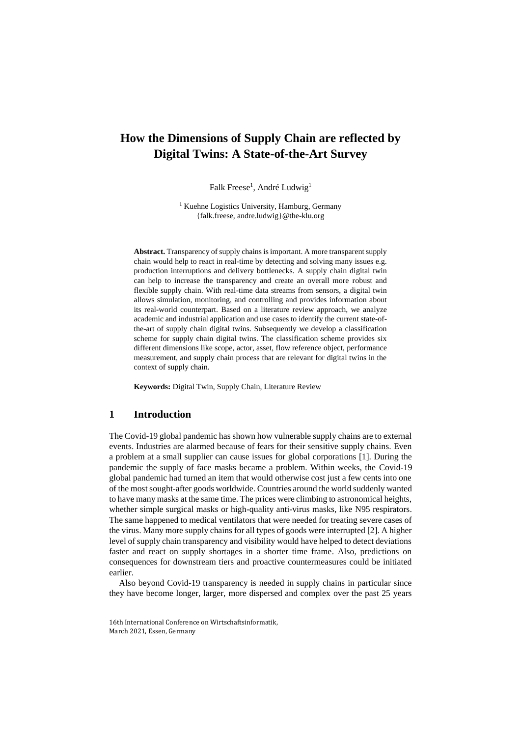# **How the Dimensions of Supply Chain are reflected by Digital Twins: A State-of-the-Art Survey**

Falk Freese<sup>1</sup>, André Ludwig<sup>1</sup>

<sup>1</sup> Kuehne Logistics University, Hamburg, Germany {falk.freese, andre.ludwig}@the-klu.org

**Abstract.** Transparency of supply chains is important. A more transparent supply chain would help to react in real-time by detecting and solving many issues e.g. production interruptions and delivery bottlenecks. A supply chain digital twin can help to increase the transparency and create an overall more robust and flexible supply chain. With real-time data streams from sensors, a digital twin allows simulation, monitoring, and controlling and provides information about its real-world counterpart. Based on a literature review approach, we analyze academic and industrial application and use cases to identify the current state-ofthe-art of supply chain digital twins. Subsequently we develop a classification scheme for supply chain digital twins. The classification scheme provides six different dimensions like scope, actor, asset, flow reference object, performance measurement, and supply chain process that are relevant for digital twins in the context of supply chain.

**Keywords:** Digital Twin, Supply Chain, Literature Review

## **1 Introduction**

The Covid-19 global pandemic has shown how vulnerable supply chains are to external events. Industries are alarmed because of fears for their sensitive supply chains. Even a problem at a small supplier can cause issues for global corporations [1]. During the pandemic the supply of face masks became a problem. Within weeks, the Covid-19 global pandemic had turned an item that would otherwise cost just a few cents into one of the most sought-after goods worldwide. Countries around the world suddenly wanted to have many masks at the same time. The prices were climbing to astronomical heights, whether simple surgical masks or high-quality anti-virus masks, like N95 respirators. The same happened to medical ventilators that were needed for treating severe cases of the virus. Many more supply chains for all types of goods were interrupted [2]. A higher level of supply chain transparency and visibility would have helped to detect deviations faster and react on supply shortages in a shorter time frame. Also, predictions on consequences for downstream tiers and proactive countermeasures could be initiated earlier.

Also beyond Covid-19 transparency is needed in supply chains in particular since they have become longer, larger, more dispersed and complex over the past 25 years

<sup>16</sup>th International Conference on Wirtschaftsinformatik, March 2021, Essen, Germany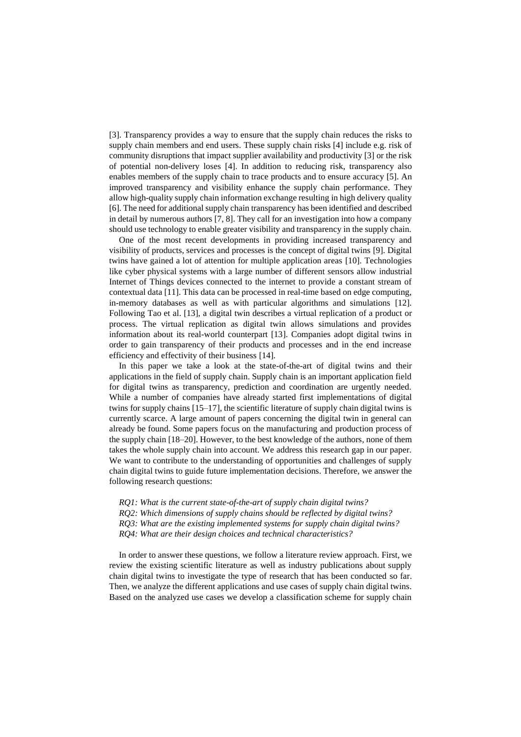[3]. Transparency provides a way to ensure that the supply chain reduces the risks to supply chain members and end users. These supply chain risks [4] include e.g. risk of community disruptions that impact supplier availability and productivity [3] or the risk of potential non-delivery loses [4]. In addition to reducing risk, transparency also enables members of the supply chain to trace products and to ensure accuracy [5]. An improved transparency and visibility enhance the supply chain performance. They allow high-quality supply chain information exchange resulting in high delivery quality [6]. The need for additional supply chain transparency has been identified and described in detail by numerous authors [7, 8]. They call for an investigation into how a company should use technology to enable greater visibility and transparency in the supply chain.

One of the most recent developments in providing increased transparency and visibility of products, services and processes is the concept of digital twins [9]. Digital twins have gained a lot of attention for multiple application areas [10]. Technologies like cyber physical systems with a large number of different sensors allow industrial Internet of Things devices connected to the internet to provide a constant stream of contextual data [11]. This data can be processed in real-time based on edge computing, in-memory databases as well as with particular algorithms and simulations [12]. Following Tao et al. [13], a digital twin describes a virtual replication of a product or process. The virtual replication as digital twin allows simulations and provides information about its real-world counterpart [13]. Companies adopt digital twins in order to gain transparency of their products and processes and in the end increase efficiency and effectivity of their business [14].

In this paper we take a look at the state-of-the-art of digital twins and their applications in the field of supply chain. Supply chain is an important application field for digital twins as transparency, prediction and coordination are urgently needed. While a number of companies have already started first implementations of digital twins for supply chains [15–17], the scientific literature of supply chain digital twins is currently scarce. A large amount of papers concerning the digital twin in general can already be found. Some papers focus on the manufacturing and production process of the supply chain [18–20]. However, to the best knowledge of the authors, none of them takes the whole supply chain into account. We address this research gap in our paper. We want to contribute to the understanding of opportunities and challenges of supply chain digital twins to guide future implementation decisions. Therefore, we answer the following research questions:

*RQ1: What is the current state-of-the-art of supply chain digital twins? RQ2: Which dimensions of supply chains should be reflected by digital twins? RQ3: What are the existing implemented systems for supply chain digital twins? RQ4: What are their design choices and technical characteristics?*

In order to answer these questions, we follow a literature review approach. First, we review the existing scientific literature as well as industry publications about supply chain digital twins to investigate the type of research that has been conducted so far. Then, we analyze the different applications and use cases of supply chain digital twins. Based on the analyzed use cases we develop a classification scheme for supply chain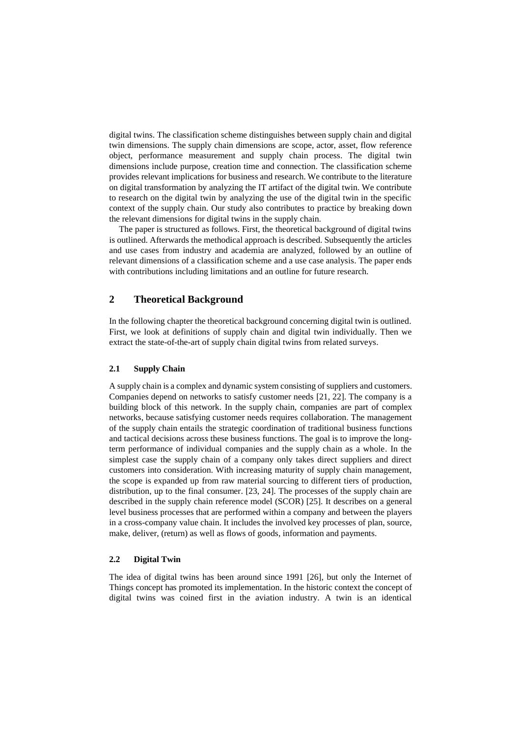digital twins. The classification scheme distinguishes between supply chain and digital twin dimensions. The supply chain dimensions are scope, actor, asset, flow reference object, performance measurement and supply chain process. The digital twin dimensions include purpose, creation time and connection. The classification scheme provides relevant implications for business and research. We contribute to the literature on digital transformation by analyzing the IT artifact of the digital twin. We contribute to research on the digital twin by analyzing the use of the digital twin in the specific context of the supply chain. Our study also contributes to practice by breaking down the relevant dimensions for digital twins in the supply chain.

The paper is structured as follows. First, the theoretical background of digital twins is outlined. Afterwards the methodical approach is described. Subsequently the articles and use cases from industry and academia are analyzed, followed by an outline of relevant dimensions of a classification scheme and a use case analysis. The paper ends with contributions including limitations and an outline for future research.

# **2 Theoretical Background**

In the following chapter the theoretical background concerning digital twin is outlined. First, we look at definitions of supply chain and digital twin individually. Then we extract the state-of-the-art of supply chain digital twins from related surveys.

### **2.1 Supply Chain**

A supply chain is a complex and dynamic system consisting of suppliers and customers. Companies depend on networks to satisfy customer needs [21, 22]. The company is a building block of this network. In the supply chain, companies are part of complex networks, because satisfying customer needs requires collaboration. The management of the supply chain entails the strategic coordination of traditional business functions and tactical decisions across these business functions. The goal is to improve the longterm performance of individual companies and the supply chain as a whole. In the simplest case the supply chain of a company only takes direct suppliers and direct customers into consideration. With increasing maturity of supply chain management, the scope is expanded up from raw material sourcing to different tiers of production, distribution, up to the final consumer. [23, 24]. The processes of the supply chain are described in the supply chain reference model (SCOR) [25]. It describes on a general level business processes that are performed within a company and between the players in a cross-company value chain. It includes the involved key processes of plan, source, make, deliver, (return) as well as flows of goods, information and payments.

#### **2.2 Digital Twin**

The idea of digital twins has been around since 1991 [26], but only the Internet of Things concept has promoted its implementation. In the historic context the concept of digital twins was coined first in the aviation industry. A twin is an identical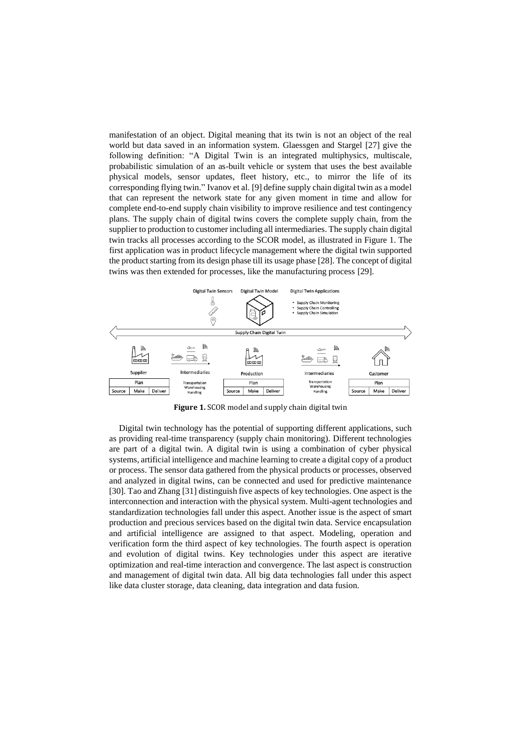manifestation of an object. Digital meaning that its twin is not an object of the real world but data saved in an information system. Glaessgen and Stargel [27] give the following definition: "A Digital Twin is an integrated multiphysics, multiscale, probabilistic simulation of an as-built vehicle or system that uses the best available physical models, sensor updates, fleet history, etc., to mirror the life of its corresponding flying twin." Ivanov et al. [9] define supply chain digital twin as a model that can represent the network state for any given moment in time and allow for complete end-to-end supply chain visibility to improve resilience and test contingency plans. The supply chain of digital twins covers the complete supply chain, from the supplier to production to customer including all intermediaries. The supply chain digital twin tracks all processes according to the SCOR model, as illustrated in Figure 1. The first application was in product lifecycle management where the digital twin supported the product starting from its design phase till its usage phase [28]. The concept of digital twins was then extended for processes, like the manufacturing process [29].



**Figure 1.** SCOR model and supply chain digital twin

Digital twin technology has the potential of supporting different applications, such as providing real-time transparency (supply chain monitoring). Different technologies are part of a digital twin. A digital twin is using a combination of cyber physical systems, artificial intelligence and machine learning to create a digital copy of a product or process. The sensor data gathered from the physical products or processes, observed and analyzed in digital twins, can be connected and used for predictive maintenance [30]. Tao and Zhang [31] distinguish five aspects of key technologies. One aspect is the interconnection and interaction with the physical system. Multi-agent technologies and standardization technologies fall under this aspect. Another issue is the aspect of smart production and precious services based on the digital twin data. Service encapsulation and artificial intelligence are assigned to that aspect. Modeling, operation and verification form the third aspect of key technologies. The fourth aspect is operation and evolution of digital twins. Key technologies under this aspect are iterative optimization and real-time interaction and convergence. The last aspect is construction and management of digital twin data. All big data technologies fall under this aspect like data cluster storage, data cleaning, data integration and data fusion.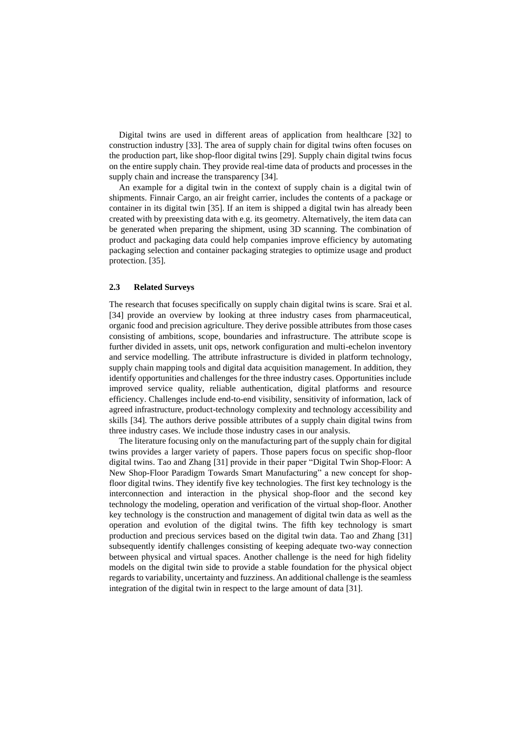Digital twins are used in different areas of application from healthcare [32] to construction industry [33]. The area of supply chain for digital twins often focuses on the production part, like shop-floor digital twins [29]. Supply chain digital twins focus on the entire supply chain. They provide real-time data of products and processes in the supply chain and increase the transparency [34].

An example for a digital twin in the context of supply chain is a digital twin of shipments. Finnair Cargo, an air freight carrier, includes the contents of a package or container in its digital twin [35]. If an item is shipped a digital twin has already been created with by preexisting data with e.g. its geometry. Alternatively, the item data can be generated when preparing the shipment, using 3D scanning. The combination of product and packaging data could help companies improve efficiency by automating packaging selection and container packaging strategies to optimize usage and product protection. [35].

#### **2.3 Related Surveys**

The research that focuses specifically on supply chain digital twins is scare. Srai et al. [34] provide an overview by looking at three industry cases from pharmaceutical, organic food and precision agriculture. They derive possible attributes from those cases consisting of ambitions, scope, boundaries and infrastructure. The attribute scope is further divided in assets, unit ops, network configuration and multi-echelon inventory and service modelling. The attribute infrastructure is divided in platform technology, supply chain mapping tools and digital data acquisition management. In addition, they identify opportunities and challenges for the three industry cases. Opportunities include improved service quality, reliable authentication, digital platforms and resource efficiency. Challenges include end-to-end visibility, sensitivity of information, lack of agreed infrastructure, product-technology complexity and technology accessibility and skills [34]. The authors derive possible attributes of a supply chain digital twins from three industry cases. We include those industry cases in our analysis.

The literature focusing only on the manufacturing part of the supply chain for digital twins provides a larger variety of papers. Those papers focus on specific shop-floor digital twins. Tao and Zhang [31] provide in their paper "Digital Twin Shop-Floor: A New Shop-Floor Paradigm Towards Smart Manufacturing" a new concept for shopfloor digital twins. They identify five key technologies. The first key technology is the interconnection and interaction in the physical shop-floor and the second key technology the modeling, operation and verification of the virtual shop-floor. Another key technology is the construction and management of digital twin data as well as the operation and evolution of the digital twins. The fifth key technology is smart production and precious services based on the digital twin data. Tao and Zhang [31] subsequently identify challenges consisting of keeping adequate two-way connection between physical and virtual spaces. Another challenge is the need for high fidelity models on the digital twin side to provide a stable foundation for the physical object regards to variability, uncertainty and fuzziness. An additional challenge is the seamless integration of the digital twin in respect to the large amount of data [31].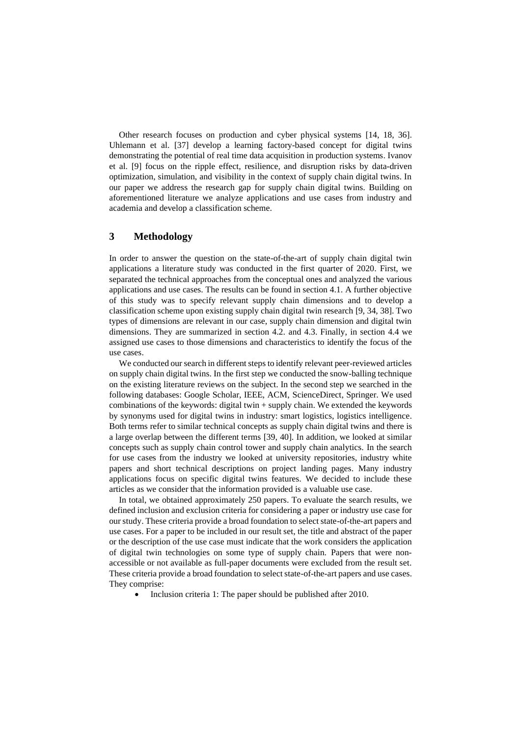Other research focuses on production and cyber physical systems [14, 18, 36]. Uhlemann et al. [37] develop a learning factory-based concept for digital twins demonstrating the potential of real time data acquisition in production systems. Ivanov et al. [9] focus on the ripple effect, resilience, and disruption risks by data-driven optimization, simulation, and visibility in the context of supply chain digital twins. In our paper we address the research gap for supply chain digital twins. Building on aforementioned literature we analyze applications and use cases from industry and academia and develop a classification scheme.

# **3 Methodology**

In order to answer the question on the state-of-the-art of supply chain digital twin applications a literature study was conducted in the first quarter of 2020. First, we separated the technical approaches from the conceptual ones and analyzed the various applications and use cases. The results can be found in section 4.1. A further objective of this study was to specify relevant supply chain dimensions and to develop a classification scheme upon existing supply chain digital twin research [9, 34, 38]. Two types of dimensions are relevant in our case, supply chain dimension and digital twin dimensions. They are summarized in section 4.2. and 4.3. Finally, in section 4.4 we assigned use cases to those dimensions and characteristics to identify the focus of the use cases.

We conducted our search in different steps to identify relevant peer-reviewed articles on supply chain digital twins. In the first step we conducted the snow-balling technique on the existing literature reviews on the subject. In the second step we searched in the following databases: Google Scholar, IEEE, ACM, ScienceDirect, Springer. We used combinations of the keywords: digital twin + supply chain. We extended the keywords by synonyms used for digital twins in industry: smart logistics, logistics intelligence. Both terms refer to similar technical concepts as supply chain digital twins and there is a large overlap between the different terms [39, 40]. In addition, we looked at similar concepts such as supply chain control tower and supply chain analytics. In the search for use cases from the industry we looked at university repositories, industry white papers and short technical descriptions on project landing pages. Many industry applications focus on specific digital twins features. We decided to include these articles as we consider that the information provided is a valuable use case.

In total, we obtained approximately 250 papers. To evaluate the search results, we defined inclusion and exclusion criteria for considering a paper or industry use case for our study. These criteria provide a broad foundation to select state-of-the-art papers and use cases. For a paper to be included in our result set, the title and abstract of the paper or the description of the use case must indicate that the work considers the application of digital twin technologies on some type of supply chain. Papers that were nonaccessible or not available as full-paper documents were excluded from the result set. These criteria provide a broad foundation to select state-of-the-art papers and use cases. They comprise:

• Inclusion criteria 1: The paper should be published after 2010.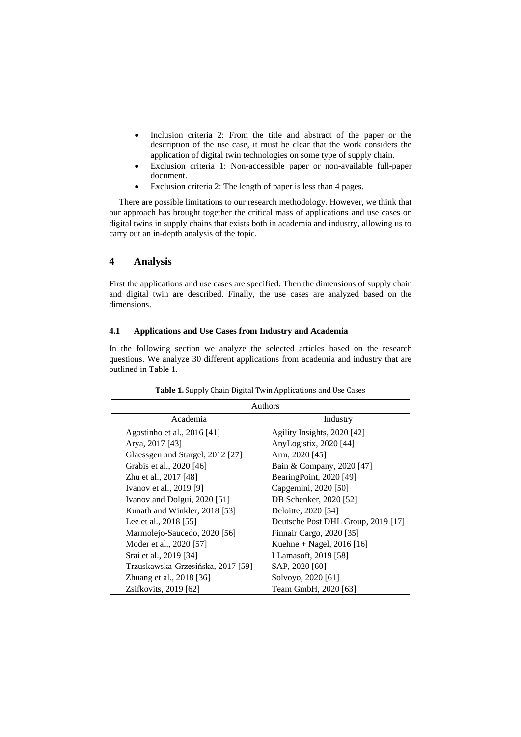- Inclusion criteria 2: From the title and abstract of the paper or the description of the use case, it must be clear that the work considers the application of digital twin technologies on some type of supply chain.
- Exclusion criteria 1: Non-accessible paper or non-available full-paper document.
- Exclusion criteria 2: The length of paper is less than 4 pages.

There are possible limitations to our research methodology. However, we think that our approach has brought together the critical mass of applications and use cases on digital twins in supply chains that exists both in academia and industry, allowing us to carry out an in-depth analysis of the topic.

# **4 Analysis**

First the applications and use cases are specified. Then the dimensions of supply chain and digital twin are described. Finally, the use cases are analyzed based on the dimensions.

#### **4.1 Applications and Use Cases from Industry and Academia**

In the following section we analyze the selected articles based on the research questions. We analyze 30 different applications from academia and industry that are outlined in Table 1.

| <b>Authors</b>                    |                                    |
|-----------------------------------|------------------------------------|
| Academia                          | Industry                           |
| Agostinho et al., 2016 [41]       | Agility Insights, 2020 [42]        |
| Arya, 2017 [43]                   | AnyLogistix, 2020 [44]             |
| Glaessgen and Stargel, 2012 [27]  | Arm, 2020 [45]                     |
| Grabis et al., 2020 [46]          | Bain & Company, 2020 [47]          |
| Zhu et al., 2017 [48]             | BearingPoint, 2020 [49]            |
| Ivanov et al., 2019 [9]           | Capgemini, 2020 [50]               |
| Ivanov and Dolgui, 2020 [51]      | DB Schenker, 2020 [52]             |
| Kunath and Winkler, 2018 [53]     | Deloitte, 2020 [54]                |
| Lee et al., 2018 [55]             | Deutsche Post DHL Group, 2019 [17] |
| Marmolejo-Saucedo, 2020 [56]      | Finnair Cargo, 2020 [35]           |
| Moder et al., 2020 [57]           | Kuehne + Nagel, $2016$ [16]        |
| Srai et al., 2019 [34]            | LLamasoft, 2019 [58]               |
| Trzuskawska-Grzesińska, 2017 [59] | SAP, 2020 [60]                     |
| Zhuang et al., 2018 [36]          | Solvoyo, 2020 [61]                 |
| Zsifkovits, 2019 [62]             | Team GmbH, 2020 [63]               |

**Table 1.** Supply Chain Digital Twin Applications and Use Cases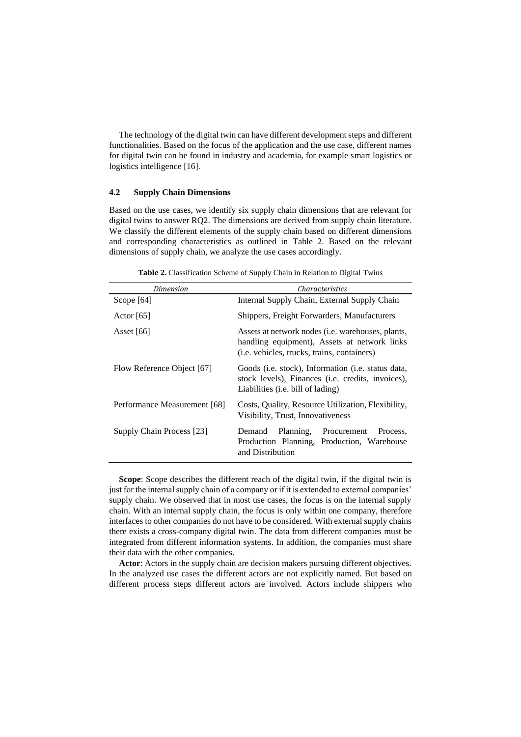The technology of the digital twin can have different development steps and different functionalities. Based on the focus of the application and the use case, different names for digital twin can be found in industry and academia, for example smart logistics or logistics intelligence [16].

### **4.2 Supply Chain Dimensions**

Based on the use cases, we identify six supply chain dimensions that are relevant for digital twins to answer RQ2. The dimensions are derived from supply chain literature. We classify the different elements of the supply chain based on different dimensions and corresponding characteristics as outlined in Table 2. Based on the relevant dimensions of supply chain, we analyze the use cases accordingly.

| Dimension                    | Characteristics                                                                                                                                          |
|------------------------------|----------------------------------------------------------------------------------------------------------------------------------------------------------|
| Scope $[64]$                 | Internal Supply Chain, External Supply Chain                                                                                                             |
| Actor $[65]$                 | Shippers, Freight Forwarders, Manufacturers                                                                                                              |
| Asset [66]                   | Assets at network nodes (i.e. warehouses, plants,<br>handling equipment), Assets at network links<br>( <i>i.e.</i> vehicles, trucks, trains, containers) |
| Flow Reference Object [67]   | Goods (i.e. stock), Information (i.e. status data,<br>stock levels), Finances (i.e. credits, invoices),<br>Liabilities ( <i>i.e.</i> bill of lading)     |
| Performance Measurement [68] | Costs, Quality, Resource Utilization, Flexibility,<br>Visibility, Trust, Innovativeness                                                                  |
| Supply Chain Process [23]    | Planning,<br>Demand<br>Procurement<br>Process.<br>Production Planning, Production, Warehouse<br>and Distribution                                         |

**Table 2.** Classification Scheme of Supply Chain in Relation to Digital Twins

**Scope**: Scope describes the different reach of the digital twin, if the digital twin is just for the internal supply chain of a company or if it is extended to external companies' supply chain. We observed that in most use cases, the focus is on the internal supply chain. With an internal supply chain, the focus is only within one company, therefore interfaces to other companies do not have to be considered. With external supply chains there exists a cross-company digital twin. The data from different companies must be integrated from different information systems. In addition, the companies must share their data with the other companies.

**Actor**: Actors in the supply chain are decision makers pursuing different objectives. In the analyzed use cases the different actors are not explicitly named. But based on different process steps different actors are involved. Actors include shippers who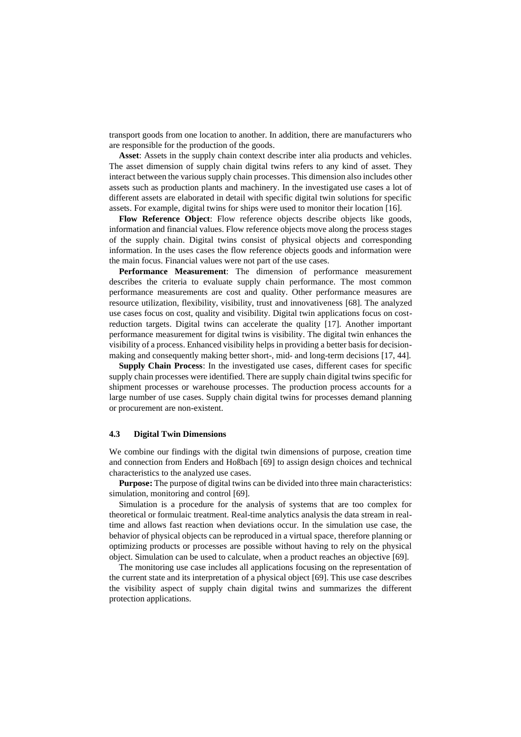transport goods from one location to another. In addition, there are manufacturers who are responsible for the production of the goods.

**Asset**: Assets in the supply chain context describe inter alia products and vehicles. The asset dimension of supply chain digital twins refers to any kind of asset. They interact between the various supply chain processes. This dimension also includes other assets such as production plants and machinery. In the investigated use cases a lot of different assets are elaborated in detail with specific digital twin solutions for specific assets. For example, digital twins for ships were used to monitor their location [16].

**Flow Reference Object**: Flow reference objects describe objects like goods, information and financial values. Flow reference objects move along the process stages of the supply chain. Digital twins consist of physical objects and corresponding information. In the uses cases the flow reference objects goods and information were the main focus. Financial values were not part of the use cases.

**Performance Measurement**: The dimension of performance measurement describes the criteria to evaluate supply chain performance. The most common performance measurements are cost and quality. Other performance measures are resource utilization, flexibility, visibility, trust and innovativeness [68]. The analyzed use cases focus on cost, quality and visibility. Digital twin applications focus on costreduction targets. Digital twins can accelerate the quality [17]. Another important performance measurement for digital twins is visibility. The digital twin enhances the visibility of a process. Enhanced visibility helps in providing a better basis for decisionmaking and consequently making better short-, mid- and long-term decisions [17, 44].

**Supply Chain Process**: In the investigated use cases, different cases for specific supply chain processes were identified. There are supply chain digital twins specific for shipment processes or warehouse processes. The production process accounts for a large number of use cases. Supply chain digital twins for processes demand planning or procurement are non-existent.

#### **4.3 Digital Twin Dimensions**

We combine our findings with the digital twin dimensions of purpose, creation time and connection from Enders and Hoßbach [69] to assign design choices and technical characteristics to the analyzed use cases.

**Purpose:** The purpose of digital twins can be divided into three main characteristics: simulation, monitoring and control [69].

Simulation is a procedure for the analysis of systems that are too complex for theoretical or formulaic treatment. Real-time analytics analysis the data stream in realtime and allows fast reaction when deviations occur. In the simulation use case, the behavior of physical objects can be reproduced in a virtual space, therefore planning or optimizing products or processes are possible without having to rely on the physical object. Simulation can be used to calculate, when a product reaches an objective [69].

The monitoring use case includes all applications focusing on the representation of the current state and its interpretation of a physical object [69]. This use case describes the visibility aspect of supply chain digital twins and summarizes the different protection applications.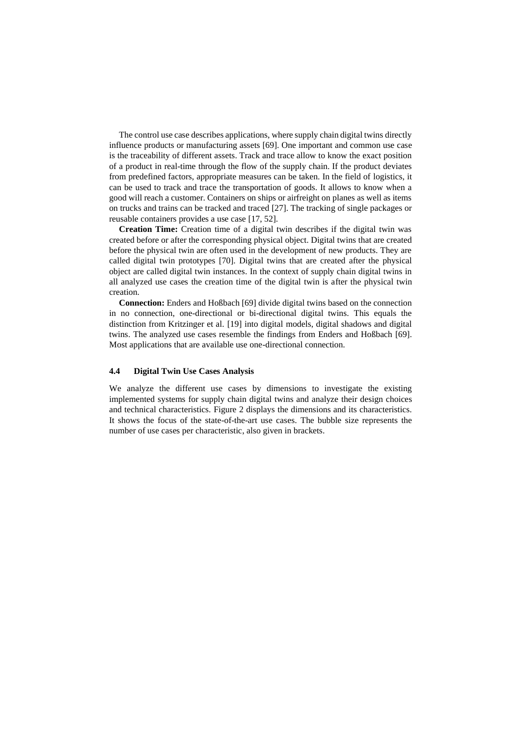The control use case describes applications, where supply chain digital twins directly influence products or manufacturing assets [69]. One important and common use case is the traceability of different assets. Track and trace allow to know the exact position of a product in real-time through the flow of the supply chain. If the product deviates from predefined factors, appropriate measures can be taken. In the field of logistics, it can be used to track and trace the transportation of goods. It allows to know when a good will reach a customer. Containers on ships or airfreight on planes as well as items on trucks and trains can be tracked and traced [27]. The tracking of single packages or reusable containers provides a use case [17, 52].

**Creation Time:** Creation time of a digital twin describes if the digital twin was created before or after the corresponding physical object. Digital twins that are created before the physical twin are often used in the development of new products. They are called digital twin prototypes [70]. Digital twins that are created after the physical object are called digital twin instances. In the context of supply chain digital twins in all analyzed use cases the creation time of the digital twin is after the physical twin creation.

**Connection:** Enders and Hoßbach [69] divide digital twins based on the connection in no connection, one-directional or bi-directional digital twins. This equals the distinction from Kritzinger et al. [19] into digital models, digital shadows and digital twins. The analyzed use cases resemble the findings from Enders and Hoßbach [69]. Most applications that are available use one-directional connection.

#### **4.4 Digital Twin Use Cases Analysis**

We analyze the different use cases by dimensions to investigate the existing implemented systems for supply chain digital twins and analyze their design choices and technical characteristics. Figure 2 displays the dimensions and its characteristics. It shows the focus of the state-of-the-art use cases. The bubble size represents the number of use cases per characteristic, also given in brackets.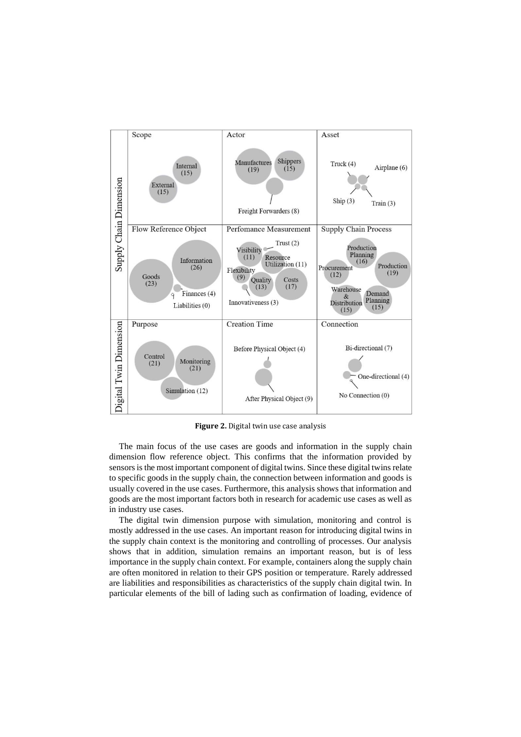

**Figure 2.** Digital twin use case analysis

The main focus of the use cases are goods and information in the supply chain dimension flow reference object. This confirms that the information provided by sensors is the most important component of digital twins. Since these digital twins relate to specific goods in the supply chain, the connection between information and goods is usually covered in the use cases. Furthermore, this analysis shows that information and goods are the most important factors both in research for academic use cases as well as in industry use cases.

The digital twin dimension purpose with simulation, monitoring and control is mostly addressed in the use cases. An important reason for introducing digital twins in the supply chain context is the monitoring and controlling of processes. Our analysis shows that in addition, simulation remains an important reason, but is of less importance in the supply chain context. For example, containers along the supply chain are often monitored in relation to their GPS position or temperature. Rarely addressed are liabilities and responsibilities as characteristics of the supply chain digital twin. In particular elements of the bill of lading such as confirmation of loading, evidence of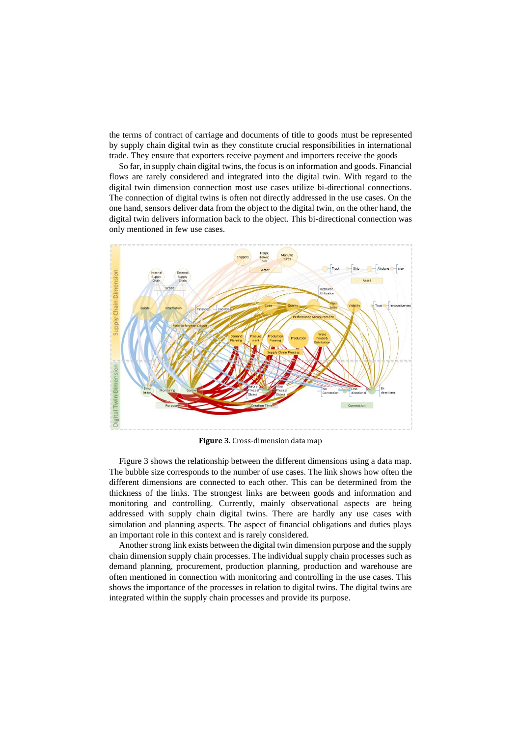the terms of contract of carriage and documents of title to goods must be represented by supply chain digital twin as they constitute crucial responsibilities in international trade. They ensure that exporters receive payment and importers receive the goods

So far, in supply chain digital twins, the focus is on information and goods. Financial flows are rarely considered and integrated into the digital twin. With regard to the digital twin dimension connection most use cases utilize bi-directional connections. The connection of digital twins is often not directly addressed in the use cases. On the one hand, sensors deliver data from the object to the digital twin, on the other hand, the digital twin delivers information back to the object. This bi-directional connection was only mentioned in few use cases.



**Figure 3.** Cross-dimension data map

Figure 3 shows the relationship between the different dimensions using a data map. The bubble size corresponds to the number of use cases. The link shows how often the different dimensions are connected to each other. This can be determined from the thickness of the links. The strongest links are between goods and information and monitoring and controlling. Currently, mainly observational aspects are being addressed with supply chain digital twins. There are hardly any use cases with simulation and planning aspects. The aspect of financial obligations and duties plays an important role in this context and is rarely considered.

Another strong link exists between the digital twin dimension purpose and the supply chain dimension supply chain processes. The individual supply chain processes such as demand planning, procurement, production planning, production and warehouse are often mentioned in connection with monitoring and controlling in the use cases. This shows the importance of the processes in relation to digital twins. The digital twins are integrated within the supply chain processes and provide its purpose.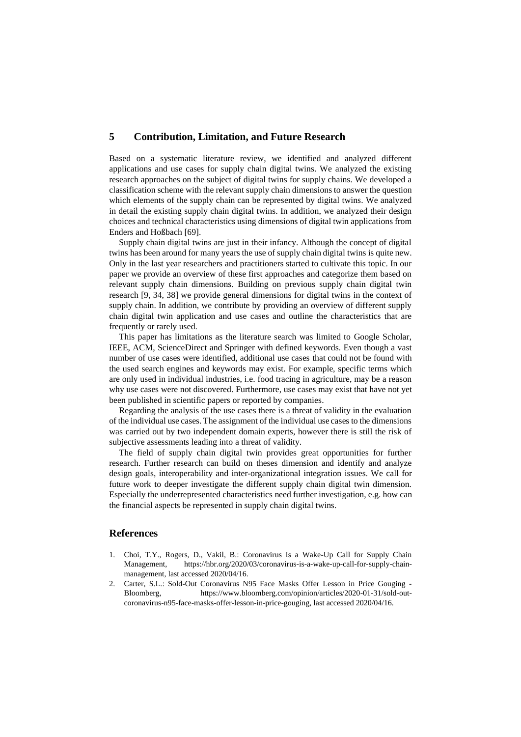# **5 Contribution, Limitation, and Future Research**

Based on a systematic literature review, we identified and analyzed different applications and use cases for supply chain digital twins. We analyzed the existing research approaches on the subject of digital twins for supply chains. We developed a classification scheme with the relevant supply chain dimensions to answer the question which elements of the supply chain can be represented by digital twins. We analyzed in detail the existing supply chain digital twins. In addition, we analyzed their design choices and technical characteristics using dimensions of digital twin applications from Enders and Hoßbach [69].

Supply chain digital twins are just in their infancy. Although the concept of digital twins has been around for many years the use of supply chain digital twins is quite new. Only in the last year researchers and practitioners started to cultivate this topic. In our paper we provide an overview of these first approaches and categorize them based on relevant supply chain dimensions. Building on previous supply chain digital twin research [9, 34, 38] we provide general dimensions for digital twins in the context of supply chain. In addition, we contribute by providing an overview of different supply chain digital twin application and use cases and outline the characteristics that are frequently or rarely used.

This paper has limitations as the literature search was limited to Google Scholar, IEEE, ACM, ScienceDirect and Springer with defined keywords. Even though a vast number of use cases were identified, additional use cases that could not be found with the used search engines and keywords may exist. For example, specific terms which are only used in individual industries, i.e. food tracing in agriculture, may be a reason why use cases were not discovered. Furthermore, use cases may exist that have not yet been published in scientific papers or reported by companies.

Regarding the analysis of the use cases there is a threat of validity in the evaluation of the individual use cases. The assignment of the individual use cases to the dimensions was carried out by two independent domain experts, however there is still the risk of subjective assessments leading into a threat of validity.

The field of supply chain digital twin provides great opportunities for further research. Further research can build on theses dimension and identify and analyze design goals, interoperability and inter-organizational integration issues. We call for future work to deeper investigate the different supply chain digital twin dimension. Especially the underrepresented characteristics need further investigation, e.g. how can the financial aspects be represented in supply chain digital twins.

# **References**

- 1. Choi, T.Y., Rogers, D., Vakil, B.: Coronavirus Is a Wake-Up Call for Supply Chain Management, https://hbr.org/2020/03/coronavirus-is-a-wake-up-call-for-supply-chainmanagement, last accessed 2020/04/16.
- 2. Carter, S.L.: Sold-Out Coronavirus N95 Face Masks Offer Lesson in Price Gouging Bloomberg, https://www.bloomberg.com/opinion/articles/2020-01-31/sold-outcoronavirus-n95-face-masks-offer-lesson-in-price-gouging, last accessed 2020/04/16.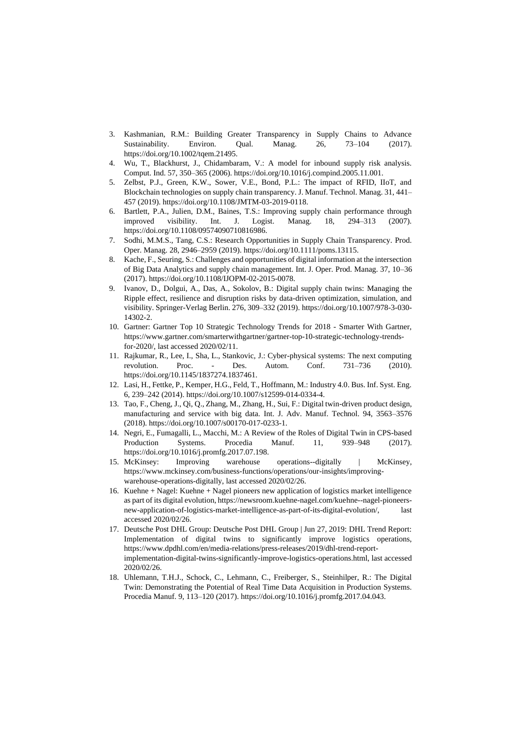- 3. Kashmanian, R.M.: Building Greater Transparency in Supply Chains to Advance Sustainability. Environ. Qual. Manag. 26, 73-104 (2017). https://doi.org/10.1002/tqem.21495.
- 4. Wu, T., Blackhurst, J., Chidambaram, V.: A model for inbound supply risk analysis. Comput. Ind. 57, 350–365 (2006). https://doi.org/10.1016/j.compind.2005.11.001.
- 5. Zelbst, P.J., Green, K.W., Sower, V.E., Bond, P.L.: The impact of RFID, IIoT, and Blockchain technologies on supply chain transparency. J. Manuf. Technol. Manag. 31, 441– 457 (2019). https://doi.org/10.1108/JMTM-03-2019-0118.
- 6. Bartlett, P.A., Julien, D.M., Baines, T.S.: Improving supply chain performance through improved visibility. Int. J. Logist. Manag. 18, 294–313 (2007). https://doi.org/10.1108/09574090710816986.
- 7. Sodhi, M.M.S., Tang, C.S.: Research Opportunities in Supply Chain Transparency. Prod. Oper. Manag. 28, 2946–2959 (2019). https://doi.org/10.1111/poms.13115.
- 8. Kache, F., Seuring, S.: Challenges and opportunities of digital information at the intersection of Big Data Analytics and supply chain management. Int. J. Oper. Prod. Manag. 37, 10–36 (2017). https://doi.org/10.1108/IJOPM-02-2015-0078.
- 9. Ivanov, D., Dolgui, A., Das, A., Sokolov, B.: Digital supply chain twins: Managing the Ripple effect, resilience and disruption risks by data-driven optimization, simulation, and visibility. Springer-Verlag Berlin. 276, 309–332 (2019). https://doi.org/10.1007/978-3-030- 14302-2.
- 10. Gartner: Gartner Top 10 Strategic Technology Trends for 2018 Smarter With Gartner, https://www.gartner.com/smarterwithgartner/gartner-top-10-strategic-technology-trendsfor-2020/, last accessed 2020/02/11.
- 11. Rajkumar, R., Lee, I., Sha, L., Stankovic, J.: Cyber-physical systems: The next computing revolution. Proc. - Des. Autom. Conf. 731–736 (2010). https://doi.org/10.1145/1837274.1837461.
- 12. Lasi, H., Fettke, P., Kemper, H.G., Feld, T., Hoffmann, M.: Industry 4.0. Bus. Inf. Syst. Eng. 6, 239–242 (2014). https://doi.org/10.1007/s12599-014-0334-4.
- 13. Tao, F., Cheng, J., Qi, Q., Zhang, M., Zhang, H., Sui, F.: Digital twin-driven product design, manufacturing and service with big data. Int. J. Adv. Manuf. Technol. 94, 3563–3576 (2018). https://doi.org/10.1007/s00170-017-0233-1.
- 14. Negri, E., Fumagalli, L., Macchi, M.: A Review of the Roles of Digital Twin in CPS-based Production Systems. Procedia Manuf. 11, 939–948 (2017). https://doi.org/10.1016/j.promfg.2017.07.198.
- 15. McKinsey: Improving warehouse operations--digitally | McKinsey, https://www.mckinsey.com/business-functions/operations/our-insights/improvingwarehouse-operations-digitally, last accessed 2020/02/26.
- 16. Kuehne + Nagel: Kuehne + Nagel pioneers new application of logistics market intelligence as part of its digital evolution, https://newsroom.kuehne-nagel.com/kuehne--nagel-pioneersnew-application-of-logistics-market-intelligence-as-part-of-its-digital-evolution/, last accessed 2020/02/26.
- 17. Deutsche Post DHL Group: Deutsche Post DHL Group | Jun 27, 2019: DHL Trend Report: Implementation of digital twins to significantly improve logistics operations, https://www.dpdhl.com/en/media-relations/press-releases/2019/dhl-trend-reportimplementation-digital-twins-significantly-improve-logistics-operations.html, last accessed 2020/02/26.
- 18. Uhlemann, T.H.J., Schock, C., Lehmann, C., Freiberger, S., Steinhilper, R.: The Digital Twin: Demonstrating the Potential of Real Time Data Acquisition in Production Systems. Procedia Manuf. 9, 113–120 (2017). https://doi.org/10.1016/j.promfg.2017.04.043.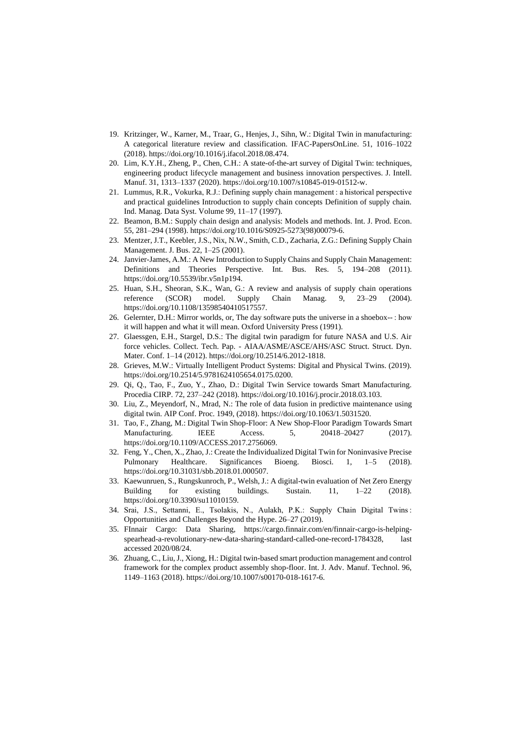- 19. Kritzinger, W., Karner, M., Traar, G., Henjes, J., Sihn, W.: Digital Twin in manufacturing: A categorical literature review and classification. IFAC-PapersOnLine. 51, 1016–1022 (2018). https://doi.org/10.1016/j.ifacol.2018.08.474.
- 20. Lim, K.Y.H., Zheng, P., Chen, C.H.: A state-of-the-art survey of Digital Twin: techniques, engineering product lifecycle management and business innovation perspectives. J. Intell. Manuf. 31, 1313–1337 (2020). https://doi.org/10.1007/s10845-019-01512-w.
- 21. Lummus, R.R., Vokurka, R.J.: Defining supply chain management : a historical perspective and practical guidelines Introduction to supply chain concepts Definition of supply chain. Ind. Manag. Data Syst. Volume 99, 11–17 (1997).
- 22. Beamon, B.M.: Supply chain design and analysis: Models and methods. Int. J. Prod. Econ. 55, 281–294 (1998). https://doi.org/10.1016/S0925-5273(98)00079-6.
- 23. Mentzer, J.T., Keebler, J.S., Nix, N.W., Smith, C.D., Zacharia, Z.G.: Defining Supply Chain Management. J. Bus. 22, 1–25 (2001).
- 24. Janvier-James, A.M.: A New Introduction to Supply Chains and Supply Chain Management: Definitions and Theories Perspective. Int. Bus. Res. 5, 194–208 (2011). https://doi.org/10.5539/ibr.v5n1p194.
- 25. Huan, S.H., Sheoran, S.K., Wan, G.: A review and analysis of supply chain operations reference (SCOR) model. Supply Chain Manag. 9, 23–29 (2004). https://doi.org/10.1108/13598540410517557.
- 26. Gelernter, D.H.: Mirror worlds, or, The day software puts the universe in a shoebox-- : how it will happen and what it will mean. Oxford University Press (1991).
- 27. Glaessgen, E.H., Stargel, D.S.: The digital twin paradigm for future NASA and U.S. Air force vehicles. Collect. Tech. Pap. - AIAA/ASME/ASCE/AHS/ASC Struct. Struct. Dyn. Mater. Conf. 1–14 (2012). https://doi.org/10.2514/6.2012-1818.
- 28. Grieves, M.W.: Virtually Intelligent Product Systems: Digital and Physical Twins. (2019). https://doi.org/10.2514/5.9781624105654.0175.0200.
- 29. Qi, Q., Tao, F., Zuo, Y., Zhao, D.: Digital Twin Service towards Smart Manufacturing. Procedia CIRP. 72, 237–242 (2018). https://doi.org/10.1016/j.procir.2018.03.103.
- 30. Liu, Z., Meyendorf, N., Mrad, N.: The role of data fusion in predictive maintenance using digital twin. AIP Conf. Proc. 1949, (2018). https://doi.org/10.1063/1.5031520.
- 31. Tao, F., Zhang, M.: Digital Twin Shop-Floor: A New Shop-Floor Paradigm Towards Smart Manufacturing. IEEE Access. 5, 20418–20427 (2017). https://doi.org/10.1109/ACCESS.2017.2756069.
- 32. Feng, Y., Chen, X., Zhao, J.: Create the Individualized Digital Twin for Noninvasive Precise Pulmonary Healthcare. Significances Bioeng. Biosci. 1, 1–5 (2018). https://doi.org/10.31031/sbb.2018.01.000507.
- 33. Kaewunruen, S., Rungskunroch, P., Welsh, J.: A digital-twin evaluation of Net Zero Energy Building for existing buildings. Sustain. 11, 1–22 (2018). https://doi.org/10.3390/su11010159.
- 34. Srai, J.S., Settanni, E., Tsolakis, N., Aulakh, P.K.: Supply Chain Digital Twins : Opportunities and Challenges Beyond the Hype. 26–27 (2019).
- 35. FInnair Cargo: Data Sharing, https://cargo.finnair.com/en/finnair-cargo-is-helpingspearhead-a-revolutionary-new-data-sharing-standard-called-one-record-1784328, last accessed 2020/08/24.
- 36. Zhuang, C., Liu, J., Xiong, H.: Digital twin-based smart production management and control framework for the complex product assembly shop-floor. Int. J. Adv. Manuf. Technol. 96, 1149–1163 (2018). https://doi.org/10.1007/s00170-018-1617-6.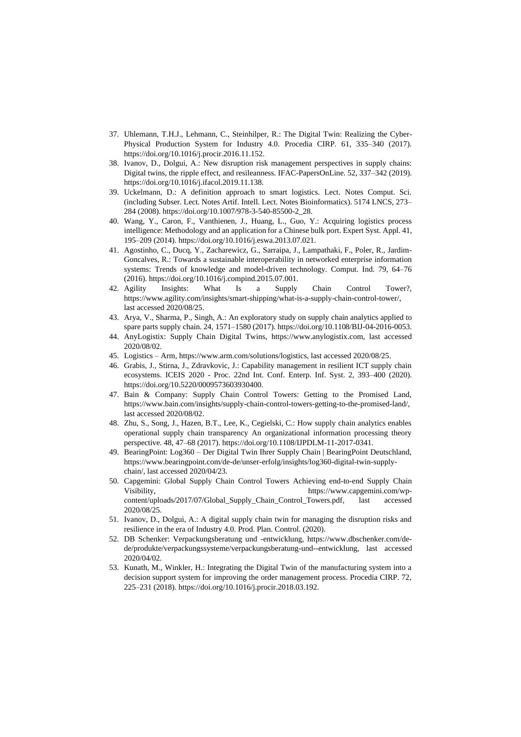- 37. Uhlemann, T.H.J., Lehmann, C., Steinhilper, R.: The Digital Twin: Realizing the Cyber-Physical Production System for Industry 4.0. Procedia CIRP. 61, 335–340 (2017). https://doi.org/10.1016/j.procir.2016.11.152.
- 38. Ivanov, D., Dolgui, A.: New disruption risk management perspectives in supply chains: Digital twins, the ripple effect, and resileanness. IFAC-PapersOnLine. 52, 337–342 (2019). https://doi.org/10.1016/j.ifacol.2019.11.138.
- 39. Uckelmann, D.: A definition approach to smart logistics. Lect. Notes Comput. Sci. (including Subser. Lect. Notes Artif. Intell. Lect. Notes Bioinformatics). 5174 LNCS, 273– 284 (2008). https://doi.org/10.1007/978-3-540-85500-2\_28.
- 40. Wang, Y., Caron, F., Vanthienen, J., Huang, L., Guo, Y.: Acquiring logistics process intelligence: Methodology and an application for a Chinese bulk port. Expert Syst. Appl. 41, 195–209 (2014). https://doi.org/10.1016/j.eswa.2013.07.021.
- 41. Agostinho, C., Ducq, Y., Zacharewicz, G., Sarraipa, J., Lampathaki, F., Poler, R., Jardim-Goncalves, R.: Towards a sustainable interoperability in networked enterprise information systems: Trends of knowledge and model-driven technology. Comput. Ind. 79, 64–76 (2016). https://doi.org/10.1016/j.compind.2015.07.001.
- 42. Agility Insights: What Is a Supply Chain Control Tower?, https://www.agility.com/insights/smart-shipping/what-is-a-supply-chain-control-tower/, last accessed 2020/08/25.
- 43. Arya, V., Sharma, P., Singh, A.: An exploratory study on supply chain analytics applied to spare parts supply chain. 24, 1571–1580 (2017). https://doi.org/10.1108/BIJ-04-2016-0053.
- 44. AnyLogistix: Supply Chain Digital Twins, https://www.anylogistix.com, last accessed 2020/08/02.
- 45. Logistics Arm, https://www.arm.com/solutions/logistics, last accessed 2020/08/25.
- 46. Grabis, J., Stirna, J., Zdravkovic, J.: Capability management in resilient ICT supply chain ecosystems. ICEIS 2020 - Proc. 22nd Int. Conf. Enterp. Inf. Syst. 2, 393–400 (2020). https://doi.org/10.5220/0009573603930400.
- 47. Bain & Company: Supply Chain Control Towers: Getting to the Promised Land, https://www.bain.com/insights/supply-chain-control-towers-getting-to-the-promised-land/, last accessed 2020/08/02.
- 48. Zhu, S., Song, J., Hazen, B.T., Lee, K., Cegielski, C.: How supply chain analytics enables operational supply chain transparency An organizational information processing theory perspective. 48, 47–68 (2017). https://doi.org/10.1108/IJPDLM-11-2017-0341.
- 49. BearingPoint: Log360 Der Digital Twin Ihrer Supply Chain | BearingPoint Deutschland, https://www.bearingpoint.com/de-de/unser-erfolg/insights/log360-digital-twin-supplychain/, last accessed 2020/04/23.
- 50. Capgemini: Global Supply Chain Control Towers Achieving end-to-end Supply Chain Visibility, https://www.capgemini.com/wpcontent/uploads/2017/07/Global\_Supply\_Chain\_Control\_Towers.pdf, last accessed 2020/08/25.
- 51. Ivanov, D., Dolgui, A.: A digital supply chain twin for managing the disruption risks and resilience in the era of Industry 4.0. Prod. Plan. Control. (2020).
- 52. DB Schenker: Verpackungsberatung und -entwicklung, https://www.dbschenker.com/dede/produkte/verpackungssysteme/verpackungsberatung-und--entwicklung, last accessed 2020/04/02.
- 53. Kunath, M., Winkler, H.: Integrating the Digital Twin of the manufacturing system into a decision support system for improving the order management process. Procedia CIRP. 72, 225–231 (2018). https://doi.org/10.1016/j.procir.2018.03.192.